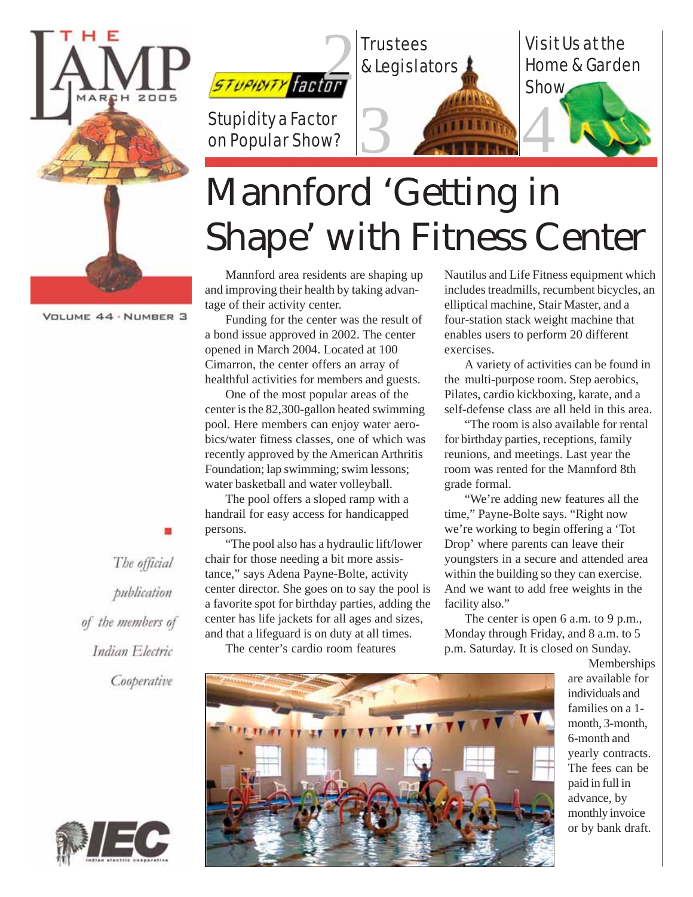



# Mannford 'Getting in Shape' with Fitness Center

Mannford area residents are shaping up and improving their health by taking advantage of their activity center.

Funding for the center was the result of a bond issue approved in 2002. The center opened in March 2004. Located at 100 Cimarron, the center offers an array of healthful activities for members and guests.

One of the most popular areas of the center is the 82,300-gallon heated swimming pool. Here members can enjoy water aerobics/water fitness classes, one of which was recently approved by the American Arthritis Foundation; lap swimming; swim lessons; water basketball and water volleyball.

The pool offers a sloped ramp with a handrail for easy access for handicapped persons.

"The pool also has a hydraulic lift/lower chair for those needing a bit more assistance," says Adena Payne-Bolte, activity center director. She goes on to say the pool is a favorite spot for birthday parties, adding the center has life jackets for all ages and sizes, and that a lifeguard is on duty at all times.

The center's cardio room features

Nautilus and Life Fitness equipment which includes treadmills, recumbent bicycles, an elliptical machine, Stair Master, and a four-station stack weight machine that enables users to perform 20 different exercises.

A variety of activities can be found in the multi-purpose room. Step aerobics, Pilates, cardio kickboxing, karate, and a self-defense class are all held in this area.

"The room is also available for rental for birthday parties, receptions, family reunions, and meetings. Last year the room was rented for the Mannford 8th grade formal.

"We're adding new features all the time," Payne-Bolte says. "Right now we're working to begin offering a 'Tot Drop' where parents can leave their youngsters in a secure and attended area within the building so they can exercise. And we want to add free weights in the facility also."

The center is open 6 a.m. to 9 p.m., Monday through Friday, and 8 a.m. to 5 p.m. Saturday. It is closed on Sunday.



Memberships are available for individuals and families on a 1 month, 3-month, 6-month and yearly contracts. The fees can be paid in full in advance, by monthly invoice or by bank draft.

VOLUME 44 · NUMBER 3

The official publication of the members of Indian Electric Cooperative

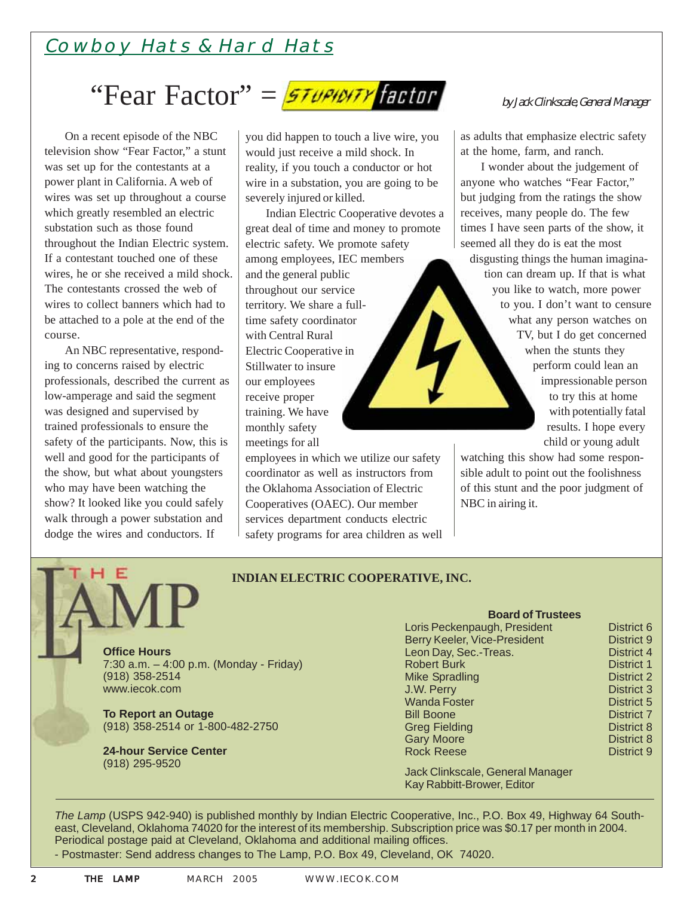### Cowboy Hats & Hard Hats

## "Fear Factor"  $=$   $57$ upidity factor

On a recent episode of the NBC television show "Fear Factor," a stunt was set up for the contestants at a power plant in California. A web of wires was set up throughout a course which greatly resembled an electric substation such as those found throughout the Indian Electric system. If a contestant touched one of these wires, he or she received a mild shock. The contestants crossed the web of wires to collect banners which had to be attached to a pole at the end of the course.

An NBC representative, responding to concerns raised by electric professionals, described the current as low-amperage and said the segment was designed and supervised by trained professionals to ensure the safety of the participants. Now, this is well and good for the participants of the show, but what about youngsters who may have been watching the show? It looked like you could safely walk through a power substation and dodge the wires and conductors. If

you did happen to touch a live wire, you would just receive a mild shock. In reality, if you touch a conductor or hot wire in a substation, you are going to be severely injured or killed.

Indian Electric Cooperative devotes a great deal of time and money to promote electric safety. We promote safety among employees, IEC members and the general public throughout our service territory. We share a fulltime safety coordinator with Central Rural Electric Cooperative in Stillwater to insure our employees receive proper training. We have monthly safety meetings for all

employees in which we utilize our safety coordinator as well as instructors from the Oklahoma Association of Electric Cooperatives (OAEC). Our member services department conducts electric safety programs for area children as well

#### by Jack Clinkscale, General Manager

as adults that emphasize electric safety at the home, farm, and ranch.

I wonder about the judgement of anyone who watches "Fear Factor," but judging from the ratings the show receives, many people do. The few times I have seen parts of the show, it seemed all they do is eat the most

disgusting things the human imagination can dream up. If that is what you like to watch, more power to you. I don't want to censure what any person watches on TV, but I do get concerned when the stunts they perform could lean an impressionable person to try this at home with potentially fatal results. I hope every child or young adult

watching this show had some responsible adult to point out the foolishness of this stunt and the poor judgment of NBC in airing it.

#### **INDIAN ELECTRIC COOPERATIVE, INC.**

**Office Hours** 7:30 a.m. – 4:00 p.m. (Monday - Friday) (918) 358-2514 www.iecok.com

**To Report an Outage** (918) 358-2514 or 1-800-482-2750

**24-hour Service Center** (918) 295-9520

### **Board of Trustees**

| Loris Peckenpaugh, President        | District 6        |
|-------------------------------------|-------------------|
| <b>Berry Keeler, Vice-President</b> | <b>District 9</b> |
| Leon Day, Sec.-Treas.               | District 4        |
| <b>Robert Burk</b>                  | <b>District 1</b> |
| <b>Mike Spradling</b>               | <b>District 2</b> |
| J.W. Perry                          | <b>District 3</b> |
| <b>Wanda Foster</b>                 | <b>District 5</b> |
| <b>Bill Boone</b>                   | <b>District 7</b> |
| <b>Greg Fielding</b>                | <b>District 8</b> |
| <b>Gary Moore</b>                   | District 8        |
| <b>Rock Reese</b>                   | <b>District 9</b> |
|                                     |                   |

Jack Clinkscale, General Manager Kay Rabbitt-Brower, Editor

*The Lamp* (USPS 942-940) is published monthly by Indian Electric Cooperative, Inc., P.O. Box 49, Highway 64 Southeast, Cleveland, Oklahoma 74020 for the interest of its membership. Subscription price was \$0.17 per month in 2004. Periodical postage paid at Cleveland, Oklahoma and additional mailing offices.

- Postmaster: Send address changes to The Lamp, P.O. Box 49, Cleveland, OK 74020.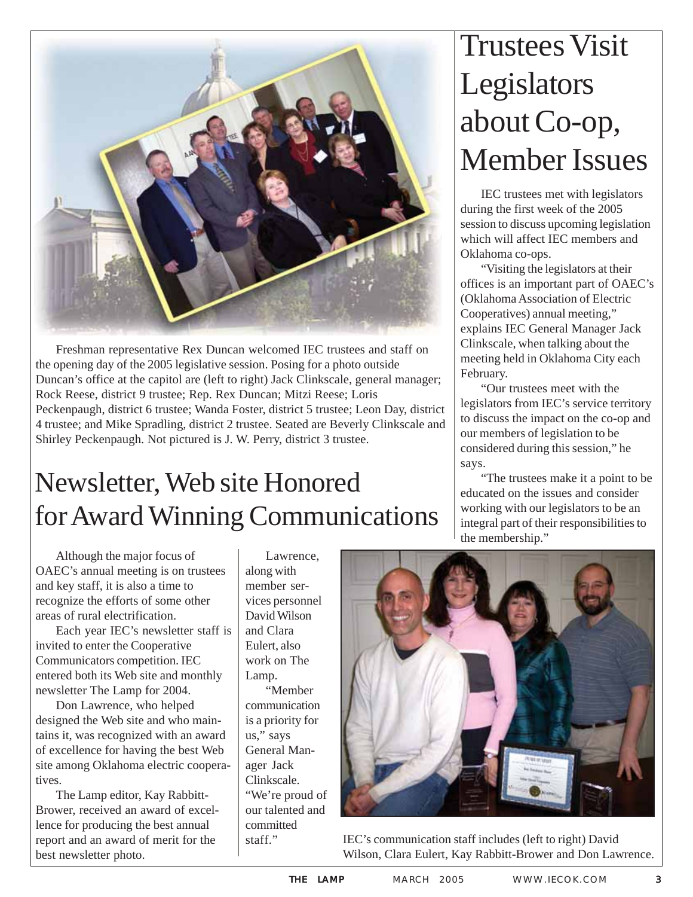

Freshman representative Rex Duncan welcomed IEC trustees and staff on the opening day of the 2005 legislative session. Posing for a photo outside Duncan's office at the capitol are (left to right) Jack Clinkscale, general manager; Rock Reese, district 9 trustee; Rep. Rex Duncan; Mitzi Reese; Loris Peckenpaugh, district 6 trustee; Wanda Foster, district 5 trustee; Leon Day, district 4 trustee; and Mike Spradling, district 2 trustee. Seated are Beverly Clinkscale and Shirley Peckenpaugh. Not pictured is J. W. Perry, district 3 trustee.

# Newsletter, Web site Honored for Award Winning Communications

Although the major focus of OAEC's annual meeting is on trustees and key staff, it is also a time to recognize the efforts of some other areas of rural electrification.

Each year IEC's newsletter staff is invited to enter the Cooperative Communicators competition. IEC entered both its Web site and monthly newsletter The Lamp for 2004.

Don Lawrence, who helped designed the Web site and who maintains it, was recognized with an award of excellence for having the best Web site among Oklahoma electric cooperatives.

The Lamp editor, Kay Rabbitt-Brower, received an award of excellence for producing the best annual report and an award of merit for the best newsletter photo.

Lawrence, along with member services personnel David Wilson and Clara Eulert, also work on The Lamp. "Member communication is a priority for us," says General Manager Jack Clinkscale. "We're proud of our talented and committed

# Trustees Visit **Legislators** about Co-op, Member Issues

IEC trustees met with legislators during the first week of the 2005 session to discuss upcoming legislation which will affect IEC members and Oklahoma co-ops.

"Visiting the legislators at their offices is an important part of OAEC's (Oklahoma Association of Electric Cooperatives) annual meeting," explains IEC General Manager Jack Clinkscale, when talking about the meeting held in Oklahoma City each February.

"Our trustees meet with the legislators from IEC's service territory to discuss the impact on the co-op and our members of legislation to be considered during this session," he says.

"The trustees make it a point to be educated on the issues and consider working with our legislators to be an integral part of their responsibilities to the membership."



staff." IEC's communication staff includes (left to right) David Wilson, Clara Eulert, Kay Rabbitt-Brower and Don Lawrence.